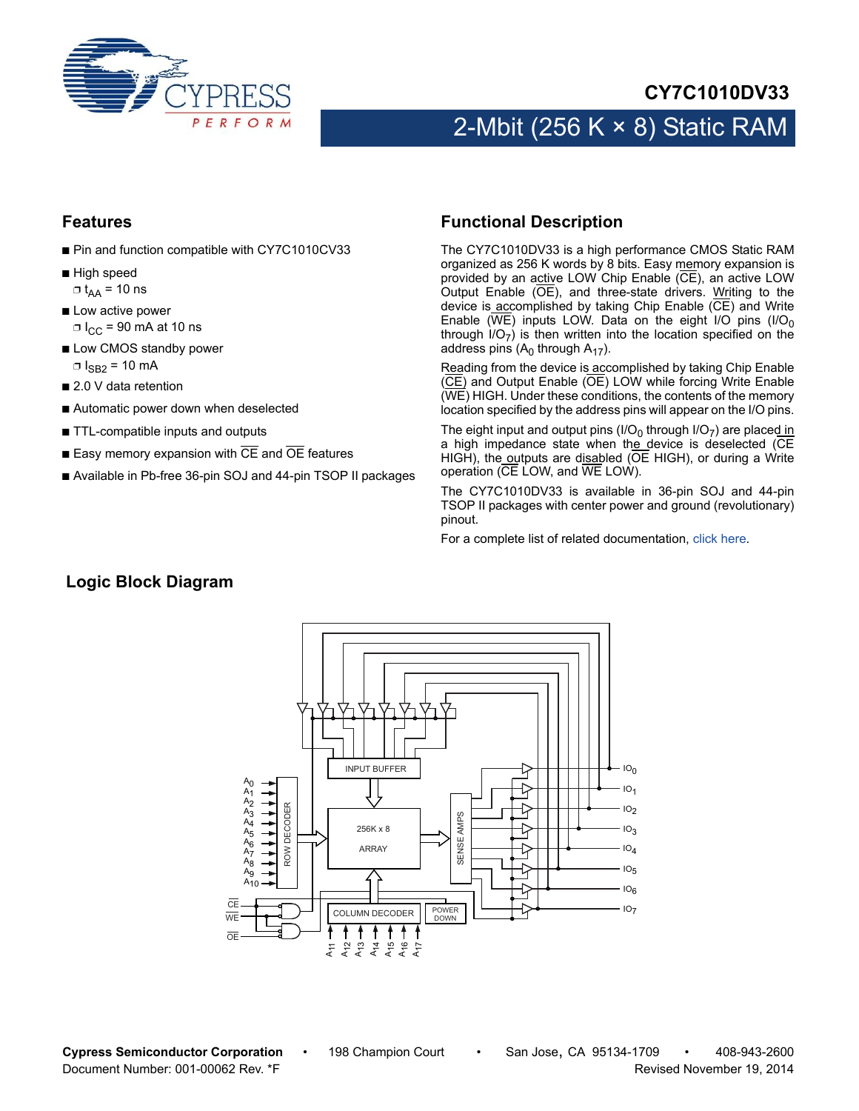

#### **CY7C1010DV33**

## 2-Mbit (256 K  $\times$  8) Static RAM

#### **Features**

- Pin and function compatible with CY7C1010CV33
- High speed  $\Box$  t<sub>AA</sub> = 10 ns
- Low active power  $\Box$  I<sub>CC</sub> = 90 mA at 10 ns
- Low CMOS standby power  $\Box$  I<sub>SB2</sub> = 10 mA
- 2.0 V data retention
- Automatic power down when deselected
- TTL-compatible inputs and outputs
- Easy memory expansion with  $\overline{CE}$  and  $\overline{OE}$  features
- Available in Pb-free 36-pin SOJ and 44-pin TSOP II packages

#### <span id="page-0-0"></span>**Functional Description**

The CY7C1010DV33 is a high performance CMOS Static RAM organized as 256 K words by 8 bits. Easy memory expansion is provided by an active LOW Chip Enable (CE), an active LOW Output Enable (OE), and three-state drivers. Writing to the device is accomplished by taking Chip Enable (CE) and Write Enable ( $\overline{\text{WE}}$ ) inputs LOW. Data on the eight I/O pins (I/O<sub>0</sub> through  $I/O_{7}$ ) is then written into the location specified on the address pins  $(A<sub>0</sub>$  through  $A<sub>17</sub>$ ).

Reading from the device is accomplished by taking Chip Enable (CE) and Output Enable (OE) LOW while forcing Write Enable (WE) HIGH. Under these conditions, the contents of the memory location specified by the address pins will appear on the I/O pins.

The eight input and output pins (I/O<sub>0</sub> through I/O<sub>7</sub>) are placed in a high impedance state when the device is deselected (CE HIGH), the outputs are disabled ( $\overline{OE}$  HIGH), or during a Write operation (CE LOW, and WE LOW).

The CY7C1010DV33 is available in 36-pin SOJ and 44-pin TSOP II packages with center power and ground (revolutionary) pinout.

For a complete list of related documentation, [click here](http://www.cypress.com/?rID=13164).

#### **Logic Block Diagram**



**Cypress Semiconductor Corporation** • 198 Champion Court • San Jose, CA 95134-1709 • 408-943-2600 Document Number: 001-00062 Rev. \*F **Revised November 19, 2014** Revised November 19, 2014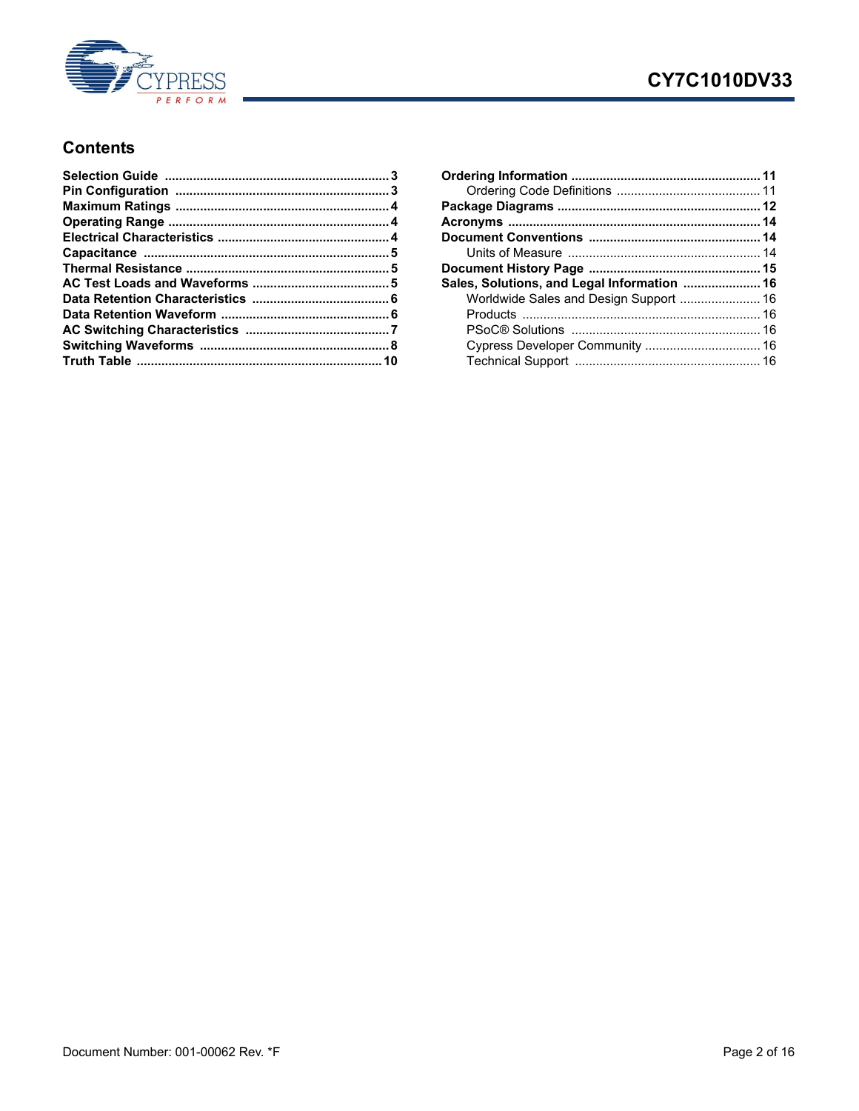

### CY7C1010DV33

#### **Contents**

| Sales, Solutions, and Legal Information  16 |  |
|---------------------------------------------|--|
| Worldwide Sales and Design Support  16      |  |
|                                             |  |
|                                             |  |
|                                             |  |
|                                             |  |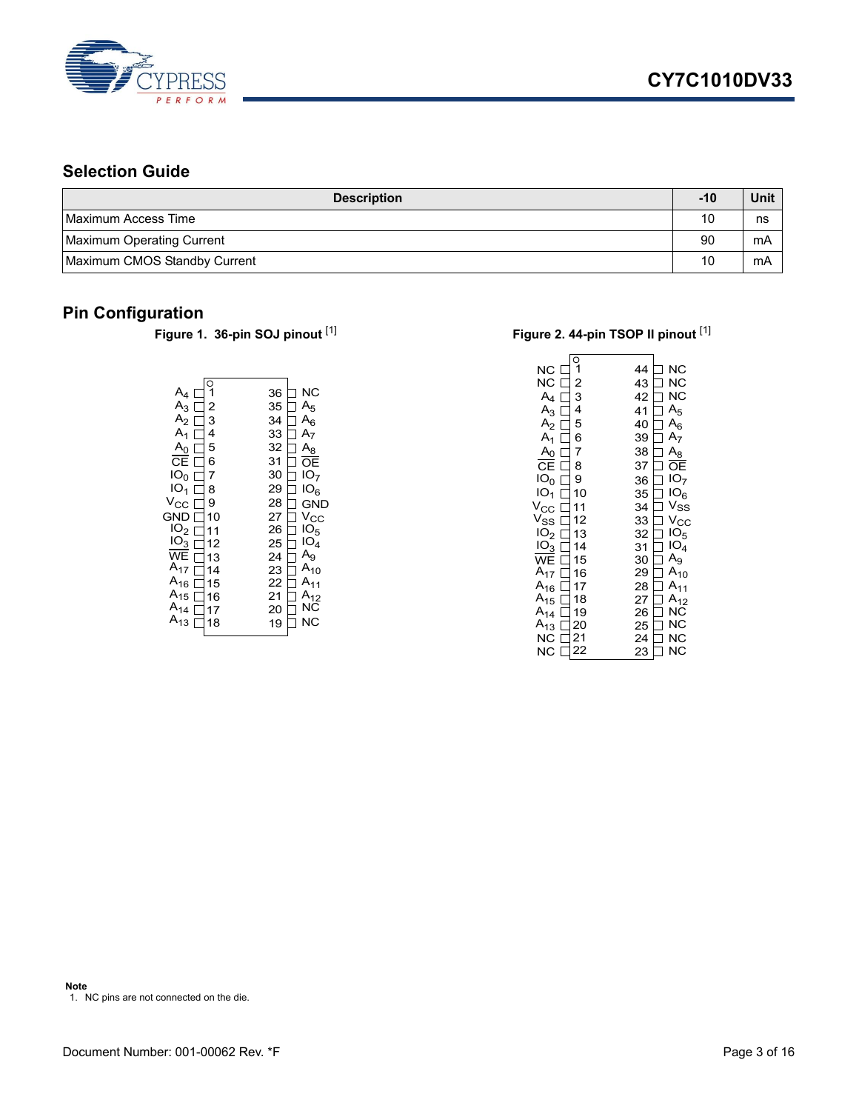

### <span id="page-2-0"></span>**Selection Guide**

| <b>Description</b>           | $-10$ | Unit |
|------------------------------|-------|------|
| Maximum Access Time          | 10    | ns   |
| Maximum Operating Current    | 90    | mA   |
| Maximum CMOS Standby Current | 10    | mΑ   |

# <span id="page-2-1"></span>**Pin Configuration**<br>Figure 1. 36-pin SOJ pinout [1]

| $A_4$           | C  | 36 | ΝC              |
|-----------------|----|----|-----------------|
| $A_3 \perp$     | 2  | 35 | A <sub>5</sub>  |
| $A_2 \perp$     | 3  | 34 | $A_6$           |
| $A_1$           | 4  | 33 | A <sub>7</sub>  |
| $A_0$           | 5  | 32 | $A_8$           |
| ĊЕ              | 6  | 31 | OΕ              |
| IO <sub>0</sub> | 7  | 30 | IO <sub>7</sub> |
| IO <sub>1</sub> | 8  | 29 | IO <sub>6</sub> |
| Vcc             | 9  | 28 | GND             |
| <b>GND</b>      | 10 | 27 | Vcc             |
| IO <sub>2</sub> | 11 | 26 | 10 <sub>5</sub> |
| IO <sub>3</sub> | 12 | 25 | IO <sub>4</sub> |
| WE              | 13 | 24 | $A_{9}$         |
| $A_{17}$        | 14 | 23 | $A_{10}$        |
| $A_{16}$        | 15 | 22 | А               |
| $A_{15}$        | 16 | 21 | А               |
| A <sub>14</sub> | 17 | 20 | NC.             |
| $A_{13}$        | 18 | 19 | ΝC              |

#### **Figure 2. 44-pin TSOP II pinout [\[1](#page-2-2)]**

| NС<br>NС<br>$\mathsf{A}_4$<br>$A_3$<br>A <sub>2</sub><br>$A_1$<br>A <sub>0</sub><br>CE<br>IO <sub>0</sub><br>IO <sub>1</sub><br>$V_{\rm CC}$<br>$\mathsf{V}_{\mathsf{SS}}$<br>IO <sub>2</sub><br>IO <sub>3</sub><br><b>WE</b><br>$A_{17}$ | 2<br>3<br>4<br>5<br>6<br>7<br>8<br>9<br>10<br>11<br>12<br>13<br>14<br>15<br>16 | 44<br>43<br>42<br>41<br>40<br>39<br>38<br>37<br>36<br>35<br>34<br>33<br>32<br>31<br>30<br>29 | ΝC<br>NC<br><b>NC</b><br>$A_5$<br>$A_6$<br>A <sub>7</sub><br>A <sub>8</sub><br>ОE<br>IO <sub>7</sub><br>IO <sub>6</sub><br>$V_{SS}$<br>$\rm v_{cc}$<br>1O <sub>5</sub><br>IO <sub>4</sub><br>$A_9$<br>$A_{10}$ |
|-------------------------------------------------------------------------------------------------------------------------------------------------------------------------------------------------------------------------------------------|--------------------------------------------------------------------------------|----------------------------------------------------------------------------------------------|----------------------------------------------------------------------------------------------------------------------------------------------------------------------------------------------------------------|
| $A_{16}$<br>$A_{15}$<br>$A_{14}$<br>$A_{13}$<br>ΝC<br>ΝC                                                                                                                                                                                  | 17<br>18<br>19<br>20<br>21<br>22                                               | 28<br>27<br>26<br>25<br>24                                                                   | A <sub>11</sub><br>$A_{12}$<br>ΝC<br>ΝC<br>NC<br>ΝC                                                                                                                                                            |
|                                                                                                                                                                                                                                           |                                                                                | 23                                                                                           |                                                                                                                                                                                                                |

<span id="page-2-2"></span>**Note** 1. NC pins are not connected on the die.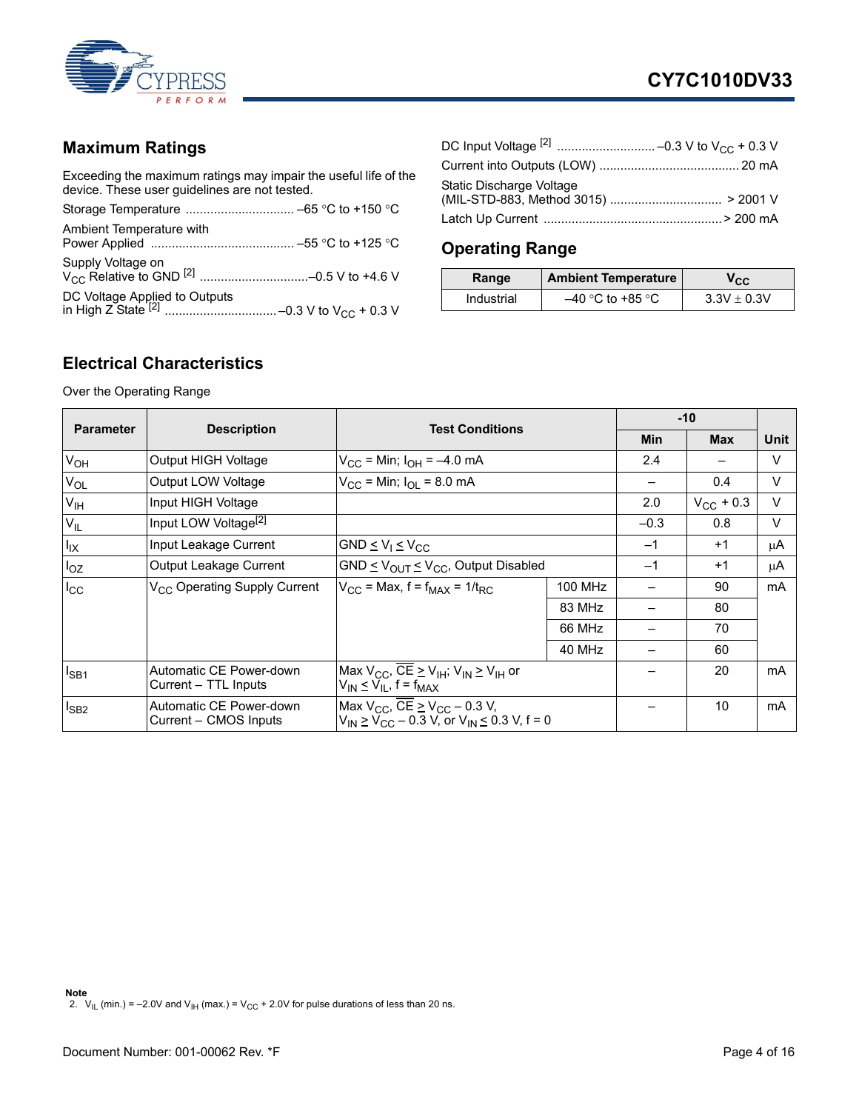

#### <span id="page-3-0"></span>**Maximum Ratings**

Exceeding the maximum ratings may impair the useful life of the device. These user guidelines are not tested.

| Ambient Temperature with |  |
|--------------------------|--|
|                          |  |
|                          |  |

| Static Discharge Voltage |  |
|--------------------------|--|
|                          |  |

### <span id="page-3-1"></span>**Operating Range**

| Range      | <b>Ambient Temperature</b> | v <sub>CC</sub> |
|------------|----------------------------|-----------------|
| Industrial | –40 °C to +85 °C           | $3.3V \pm 0.3V$ |

#### <span id="page-3-2"></span>**Electrical Characteristics**

Over the Operating Range

<span id="page-3-3"></span>

|                  |                                                  | <b>Test Conditions</b>                                                                                              |                |            | $-10$              |        |
|------------------|--------------------------------------------------|---------------------------------------------------------------------------------------------------------------------|----------------|------------|--------------------|--------|
| <b>Parameter</b> | <b>Description</b>                               |                                                                                                                     | Min            | <b>Max</b> | <b>Unit</b>        |        |
| $V_{OH}$         | Output HIGH Voltage                              | $V_{\text{CC}}$ = Min; $I_{\text{OH}}$ = -4.0 mA                                                                    |                | 2.4        |                    | V      |
| $V_{OL}$         | Output LOW Voltage                               | $V_{\rm CC}$ = Min; $I_{\rm O}$ = 8.0 mA                                                                            |                |            | 0.4                | V      |
| V <sub>IH</sub>  | Input HIGH Voltage                               |                                                                                                                     |                | 2.0        | $V_{\rm CC}$ + 0.3 | $\vee$ |
| $V_{IL}$         | Input LOW Voltage <sup>[2]</sup>                 |                                                                                                                     |                | $-0.3$     | 0.8                | $\vee$ |
| $I_{IX}$         | Input Leakage Current                            | GND $\leq$ V <sub>1</sub> $\leq$ V <sub>CC</sub>                                                                    |                | $-1$       | $+1$               | μA     |
| $I_{OZ}$         | Output Leakage Current                           | GND $\leq$ V <sub>OUT</sub> $\leq$ V <sub>CC</sub> , Output Disabled                                                |                | $-1$       | $+1$               | μA     |
| $I_{\rm CC}$     | V <sub>CC</sub> Operating Supply Current         | $V_{\text{CC}}$ = Max, f = f <sub>MAX</sub> = 1/t <sub>RC</sub>                                                     | <b>100 MHz</b> |            | 90                 | mA     |
|                  |                                                  |                                                                                                                     | 83 MHz         |            | 80                 |        |
|                  |                                                  |                                                                                                                     | 66 MHz         |            | 70                 |        |
|                  |                                                  |                                                                                                                     | 40 MHz         |            | 60                 |        |
| $I_{SB1}$        | Automatic CE Power-down<br>Current - TTL Inputs  | Max $V_{CC}$ , $\overline{CE} \geq V_{IH}$ ; $V_{IN} \geq V_{IH}$ or<br>$V_{IN} \leq V_{IL}$ , f = f <sub>MAX</sub> |                |            | 20                 | mA     |
| $I_{SB2}$        | Automatic CE Power-down<br>Current - CMOS Inputs | Max $V_{CC}$ , $\overline{CE}$ > $V_{CC}$ – 0.3 V,<br>$V_{IN} \geq V_{CC} - 0.3$ V, or $V_{IN} \leq 0.3$ V, f = 0   |                |            | 10                 | mA     |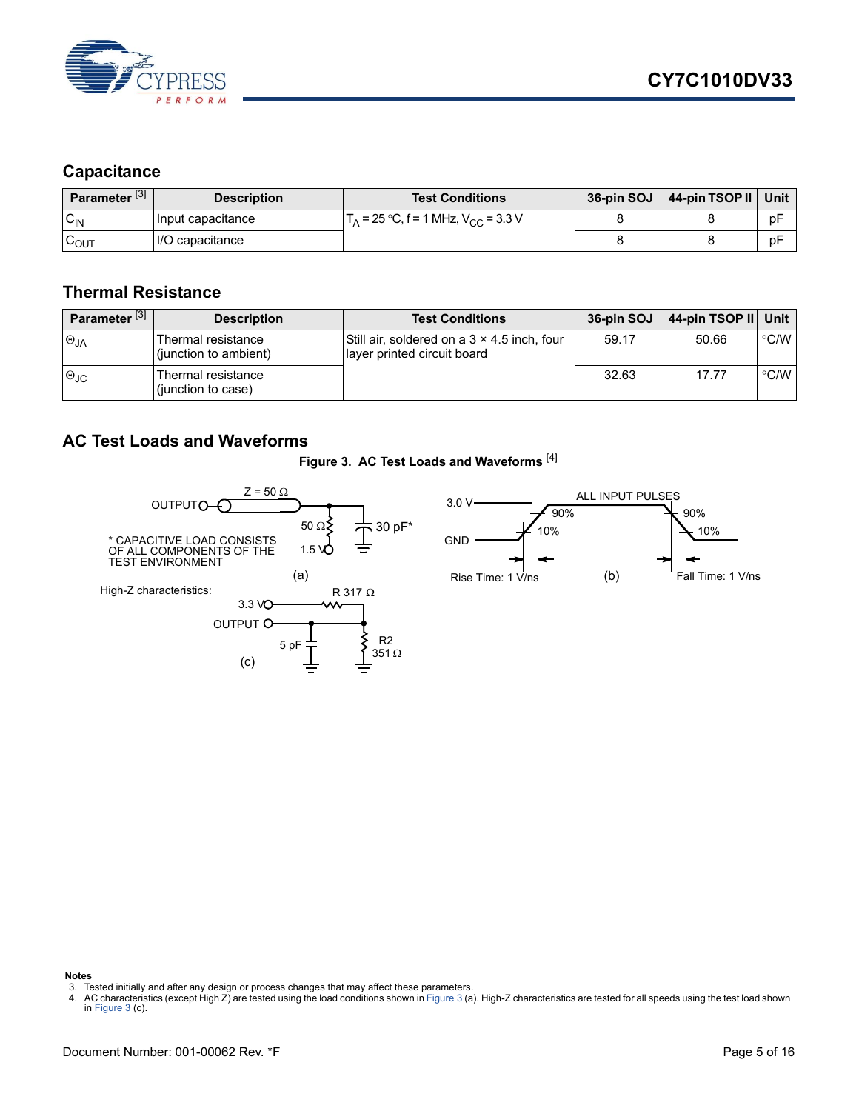

### <span id="page-4-0"></span>**Capacitance**

| Parameter <sup>[3]</sup> | <b>Description</b> | <b>Test Conditions</b>                                       | 36-pin SOJ | 44-pin TSOP II Unit |    |
|--------------------------|--------------------|--------------------------------------------------------------|------------|---------------------|----|
| $C_{IN}$                 | Input capacitance  | $\Gamma_{\rm A}$ = 25 °C, f = 1 MHz, V <sub>CC</sub> = 3.3 V |            |                     | рF |
| $\sim$<br>∪OUT           | II/O capacitance   |                                                              |            |                     | рF |

#### <span id="page-4-1"></span>**Thermal Resistance**

| Parameter <sup>[3]</sup> | <b>Description</b>                          | <b>Test Conditions</b>                                                     | 36-pin SOJ | 44-pin TSOP II Unit |                  |
|--------------------------|---------------------------------------------|----------------------------------------------------------------------------|------------|---------------------|------------------|
| $\Theta_{JA}$            | Thermal resistance<br>(junction to ambient) | Still air, soldered on a 3 x 4.5 inch, four<br>layer printed circuit board | 59.17      | 50.66               | $^{\circ}$ C/W I |
| $\Theta$ JC              | Thermal resistance<br>(junction to case)    |                                                                            | 32.63      | 17.77               | $\degree$ C/W    |

#### <span id="page-4-3"></span><span id="page-4-2"></span>**AC Test Loads and Waveforms**

#### **Figure 3. AC Test Loads and Waveforms** [[4\]](#page-4-4)



#### **Notes**

<span id="page-4-4"></span>3. Tested initially and after any design or process changes that may affect these parameters.<br>4. AC characteristics (except High Z) are tested using the load conditions shown in [Figure 3](#page-4-3) (a). High-Z characteristics are

<span id="page-4-5"></span>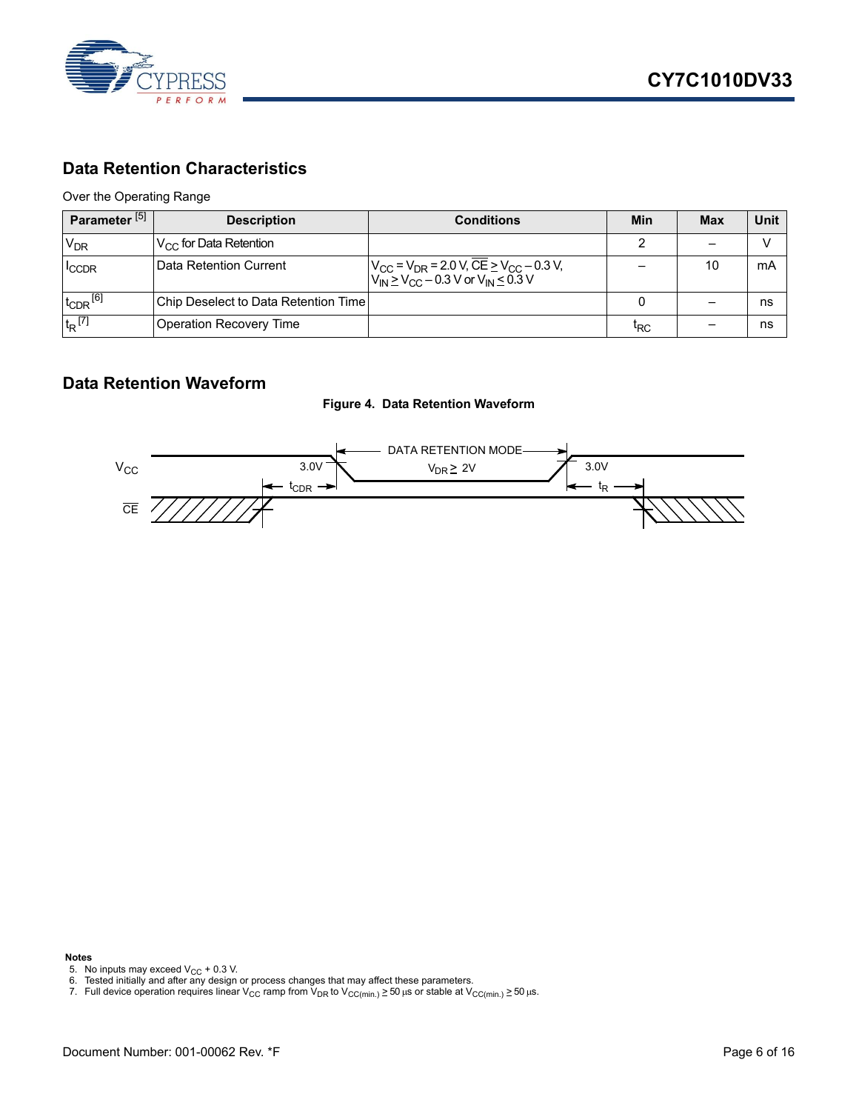

#### <span id="page-5-0"></span>**Data Retention Characteristics**

Over the Operating Range

| Parameter <sup>[5]</sup> | <b>Description</b>                   | <b>Conditions</b>                                                                                                                                               | Min             | <b>Max</b> | Unit |
|--------------------------|--------------------------------------|-----------------------------------------------------------------------------------------------------------------------------------------------------------------|-----------------|------------|------|
| <b>V<sub>DR</sub></b>    | $V_{CC}$ for Data Retention          |                                                                                                                                                                 |                 |            |      |
| <b>ICCDR</b>             | IData Retention Current              | $V_{\text{CC}}$ = V <sub>DR</sub> = 2.0 V, CE $\geq$ V <sub>CC</sub> – 0.3 V,<br>V <sub>IN</sub> $\geq$ V <sub>CC</sub> – 0.3 V or V <sub>IN</sub> $\leq$ 0.3 V |                 | 10         | mA   |
| $t_{CDR}$ <sup>[6]</sup> | Chip Deselect to Data Retention Time |                                                                                                                                                                 |                 |            | ns   |
| $t_R$ <sup>[7]</sup>     | Operation Recovery Time              |                                                                                                                                                                 | <sup>I</sup> RC |            | ns   |

#### <span id="page-5-1"></span>**Data Retention Waveform**





**Notes**

- 
- <span id="page-5-3"></span><span id="page-5-2"></span>
- <span id="page-5-4"></span>5. No inputs may exceed V<sub>CC</sub> + 0.3 V.<br>6. Tested initially and after any design or process changes that may affect these parameters.<br>7. Full device operation requires linear V<sub>CC</sub> ramp from V<sub>DR</sub> to V<sub>CC(min.)</sub> ≥ 5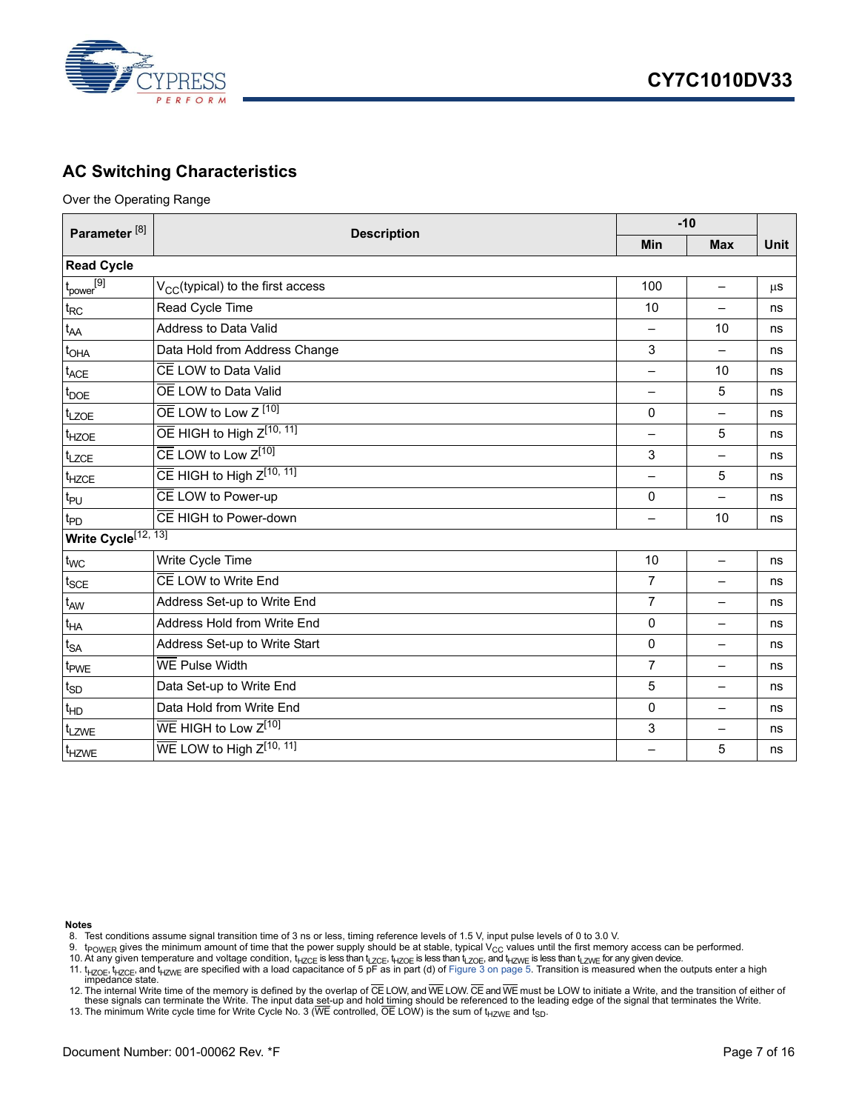

### <span id="page-6-0"></span>**AC Switching Characteristics**

Over the Operating Range

| Parameter <sup>[8]</sup> | <b>Description</b>                            |                          | $-10$                    |             |  |  |  |
|--------------------------|-----------------------------------------------|--------------------------|--------------------------|-------------|--|--|--|
|                          |                                               | <b>Min</b>               | <b>Max</b>               | <b>Unit</b> |  |  |  |
| <b>Read Cycle</b>        |                                               |                          |                          |             |  |  |  |
| $t_{power}^{[9]}$        | V <sub>CC</sub> (typical) to the first access | 100                      | $\overline{\phantom{0}}$ | $\mu$ S     |  |  |  |
| $t_{RC}$                 | Read Cycle Time                               | 10                       | $\overline{\phantom{0}}$ | ns          |  |  |  |
| t <sub>AA</sub>          | Address to Data Valid                         | $\overline{\phantom{0}}$ | 10                       | ns          |  |  |  |
| $t_{\text{OHA}}$         | Data Hold from Address Change                 | 3                        | $\overline{\phantom{0}}$ | ns          |  |  |  |
| $t_{ACE}$                | CE LOW to Data Valid                          | —                        | 10                       | ns          |  |  |  |
| $t_{\text{DOE}}$         | OE LOW to Data Valid                          | $\equiv$                 | 5                        | ns          |  |  |  |
| t <sub>LZOE</sub>        | $\overline{OE}$ LOW to Low Z $[10]$           | 0                        | $\overline{\phantom{0}}$ | ns          |  |  |  |
| t <sub>HZOE</sub>        | $\overline{OE}$ HIGH to High $Z^{[10, 11]}$   |                          | 5                        | ns          |  |  |  |
| t <sub>LZCE</sub>        | $\overline{\text{CE}}$ LOW to Low $Z^{[10]}$  | 3                        |                          | ns          |  |  |  |
| t <sub>HZCE</sub>        | $\overline{CE}$ HIGH to High $Z^{[10, 11]}$   |                          | 5                        | ns          |  |  |  |
| $t_{PU}$                 | CE LOW to Power-up                            | 0                        | $\overline{\phantom{0}}$ | ns          |  |  |  |
| t <sub>PD</sub>          | CE HIGH to Power-down                         | —                        | 10                       | ns          |  |  |  |
|                          | Write Cycle <sup>[12, 13]</sup>               |                          |                          |             |  |  |  |
| $t_{WC}$                 | Write Cycle Time                              | 10                       | $\overline{\phantom{0}}$ | ns          |  |  |  |
| $t_{\text{SCE}}$         | CE LOW to Write End                           | $\overline{7}$           | —                        | ns          |  |  |  |
| t <sub>AW</sub>          | Address Set-up to Write End                   | $\overline{7}$           | —                        | ns          |  |  |  |
| $t_{HA}$                 | Address Hold from Write End                   | 0                        | —                        | ns          |  |  |  |
| $t_{SA}$                 | Address Set-up to Write Start                 | 0                        | $\overline{\phantom{0}}$ | ns          |  |  |  |
| t <sub>PWE</sub>         | <b>WE Pulse Width</b>                         | $\overline{7}$           | $\equiv$                 | ns          |  |  |  |
| $t_{SD}$                 | Data Set-up to Write End                      | 5                        | $\overline{\phantom{0}}$ | ns          |  |  |  |
| $t_{HD}$                 | Data Hold from Write End                      | 0                        | $\overline{\phantom{0}}$ | ns          |  |  |  |
| t <sub>LZWE</sub>        | WE HIGH to Low Z <sup>[10]</sup>              | 3                        | —                        | ns          |  |  |  |
| t <sub>HZWE</sub>        | $WE$ LOW to High $Z^{[10, 11]}$               |                          | 5                        | ns          |  |  |  |

**Notes**

- <span id="page-6-1"></span>8. Test conditions assume signal transition time of 3 ns or less, timing reference levels of 1.5 V, input pulse levels of 0 to 3.0 V.
- 
- <span id="page-6-3"></span><span id="page-6-2"></span>9. t<sub>POWER</sub> gives the minimum amount of time that the power supply should be at stable, typical V<sub>CC</sub> values until the first memory access can be performed.<br>10. At any given temperature and voltage condition, t<sub>HZCE</sub> is le

- <span id="page-6-5"></span>12. The internal Write time of the memory is defined by the overlap of CE LOW, and WE LOW. CE and WE must be LOW to initiate a Write, and the transition of either of the vand hold timing should be referenced to the leading
- <span id="page-6-6"></span>13. The minimum Write cycle time for Write Cycle No. 3 (WE controlled, OE LOW) is the sum of  $t_{HZWE}$  and  $t_{SD}$ .

<span id="page-6-4"></span><sup>11.</sup>  $t_{HZOE}$ ,  $t_{HZOE}$  and  $t_{HZWE}$  are specified with a load capacitance of 5 pF as in part (d) of [Figure 3 on page 5.](#page-4-3) Transition is measured when the outputs enter a high impedance state.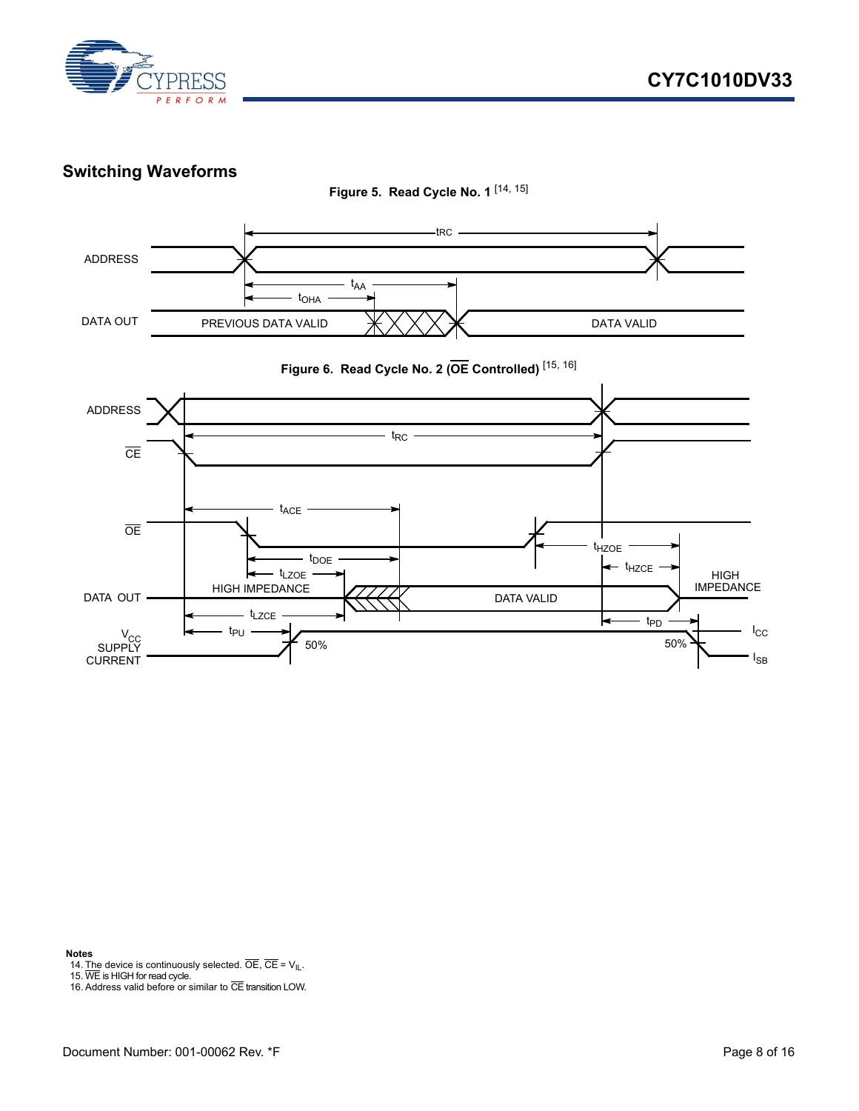

#### <span id="page-7-0"></span>**Switching Waveforms**



 $50\%$ 

t<sub>PD</sub>

#### **Notes**

<span id="page-7-1"></span>14. The device is continuously selected. OE, CE = V<sub>IL</sub>.<br>15. WE is HIGH for read cycle.<br>16. Address valid before or similar to CE transition LOW.

t<sub>LZCE</sub>

 $t_{PU}$ 

<span id="page-7-2"></span>

V<sub>CC</sub><br>SUPPLY CURRENT

<span id="page-7-3"></span>

 $\ensuremath{\mathsf{I}_{\text{CC}}}$  $I_{SB}$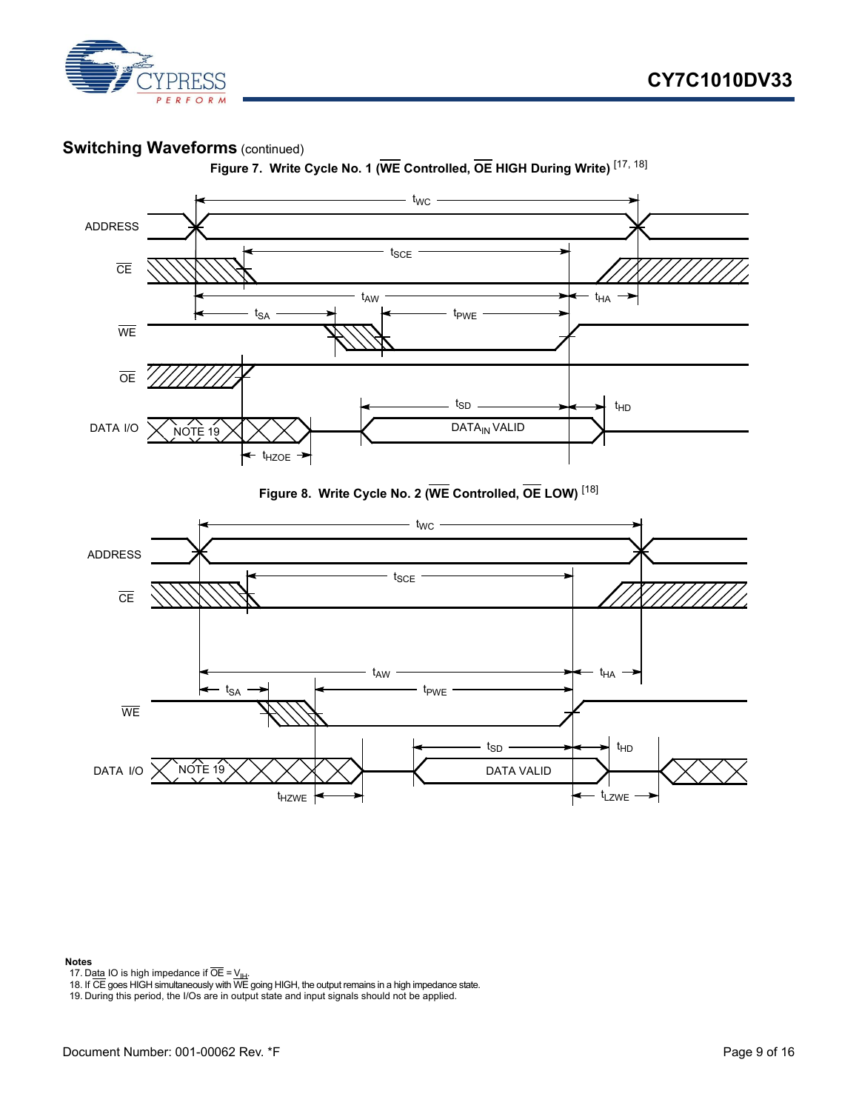

#### **Switching Waveforms** (continued)



**Figure 7. Write Cycle No. 1 (WE Controlled, OE HIGH During Write)** [[17,](#page-8-1) [18\]](#page-8-2)





#### **Notes**

<span id="page-8-1"></span>

<span id="page-8-2"></span>17. D<u>ata</u> IO is high impedance if OE = <u>V<sub>IH</sub>.</u><br>18. If CE goes HIGH simultaneously with WE going HIGH, the output remains in a high impedance state.

<span id="page-8-0"></span>19. During this period, the I/Os are in output state and input signals should not be applied.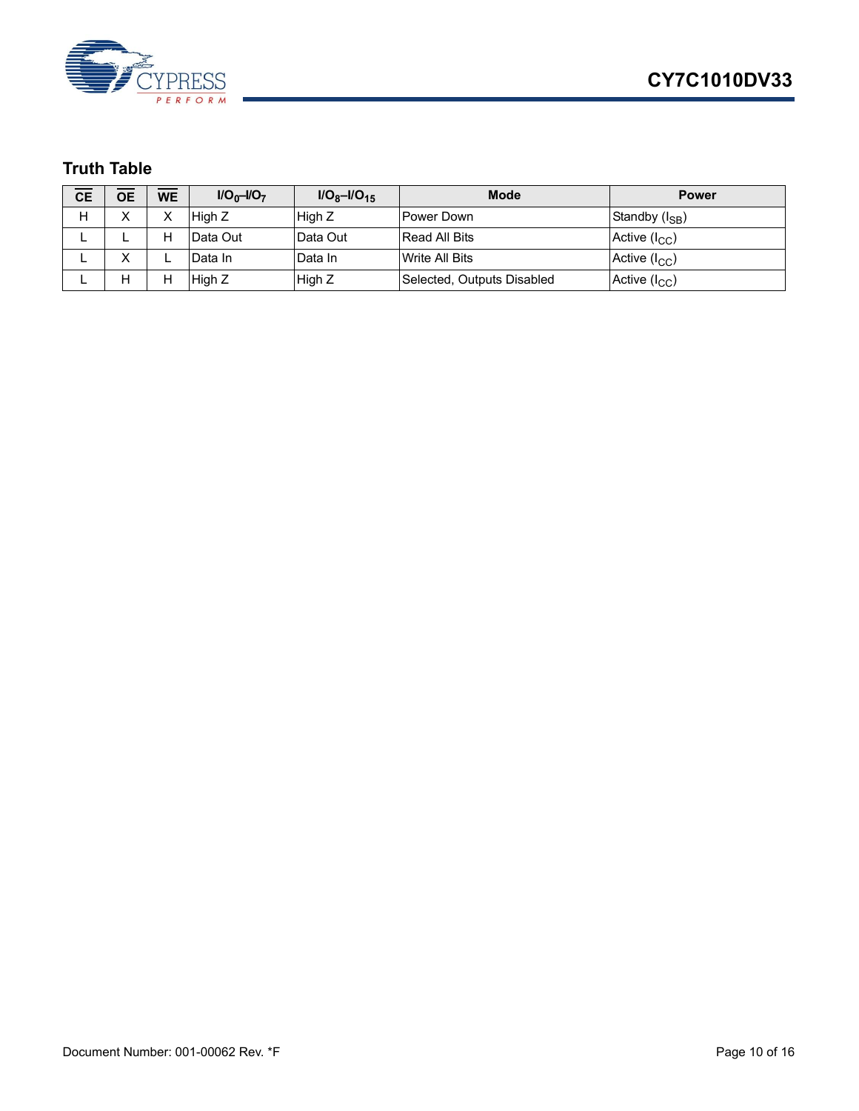

### <span id="page-9-0"></span>**Truth Table**

| <b>CE</b> | <b>OE</b>         | <b>WE</b> | $I/O_0-I/O_7$ | $I/O_8-I/O_{15}$ | <b>Mode</b>                | <b>Power</b>               |
|-----------|-------------------|-----------|---------------|------------------|----------------------------|----------------------------|
| Н         | Х                 | ⌒         | High Z        | High Z           | l Power Down               | Standby (I <sub>SB</sub> ) |
| –         | ட                 | н         | Data Out      | lData Out        | <b>Read All Bits</b>       | Active $(I_{CC})$          |
|           | $\checkmark$<br>∧ |           | Data In       | Data In          | Write All Bits             | Active $(I_{CC})$          |
|           | Н                 | н         | High Z        | High Z           | Selected, Outputs Disabled | Active $(I_{CC})$          |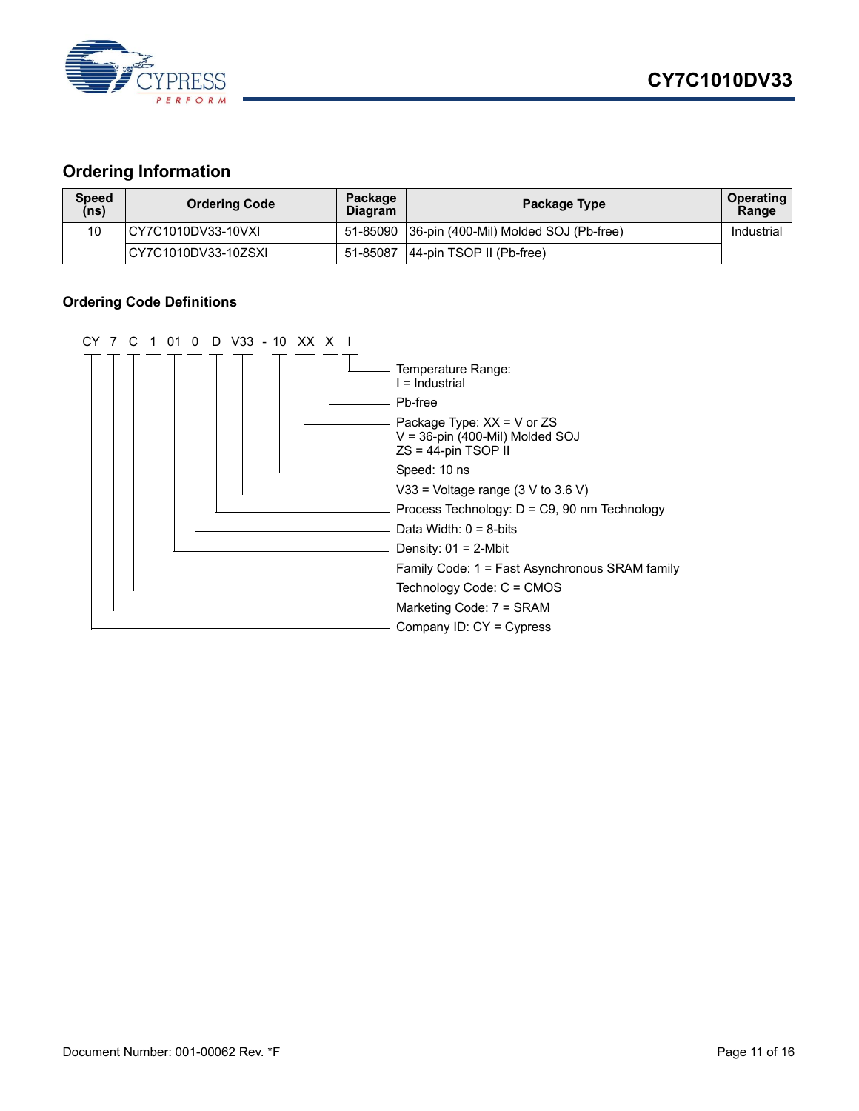

#### <span id="page-10-0"></span>**Ordering Information**

| <b>Speed</b><br>(ns) | <b>Ordering Code</b> | Package<br><b>Diagram</b> | Package Type                                   | <b>Operating</b><br>Range |
|----------------------|----------------------|---------------------------|------------------------------------------------|---------------------------|
| 10                   | ICY7C1010DV33-10VXI  |                           | 51-85090 36-pin (400-Mil) Molded SOJ (Pb-free) | Industrial                |
|                      | ICY7C1010DV33-10ZSXI | 51-85087                  | $ 44$ -pin TSOP II (Pb-free)                   |                           |

#### <span id="page-10-1"></span>**Ordering Code Definitions**

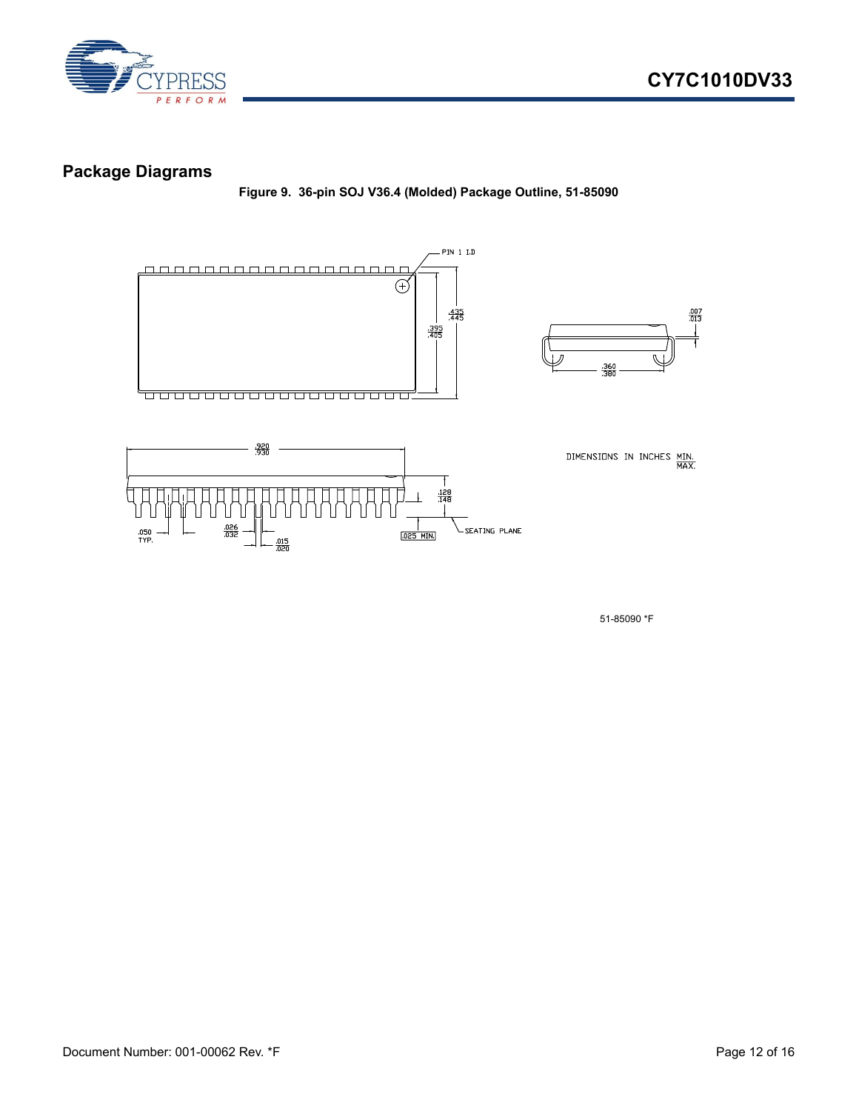

#### <span id="page-11-0"></span>**Package Diagrams**

**Figure 9. 36-pin SOJ V36.4 (Molded) Package Outline, 51-85090**



51-85090 \*F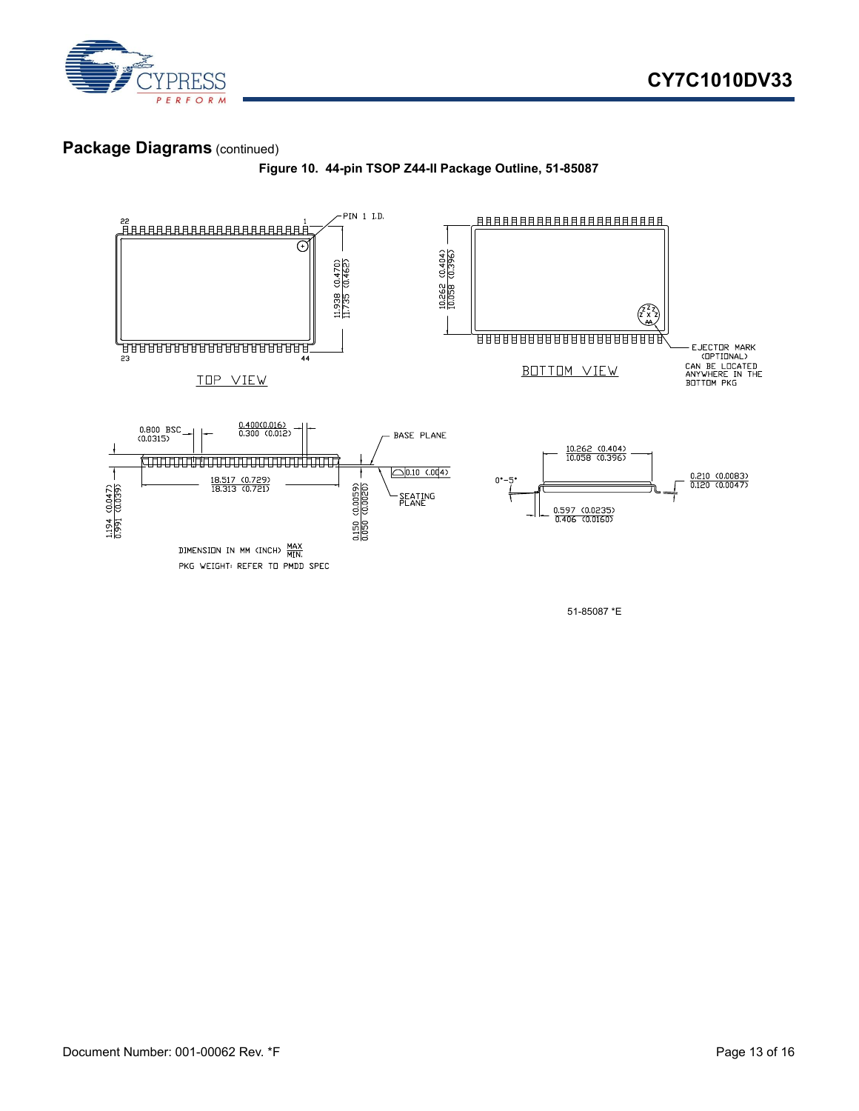

#### **Package Diagrams** (continued)





51-85087 \*E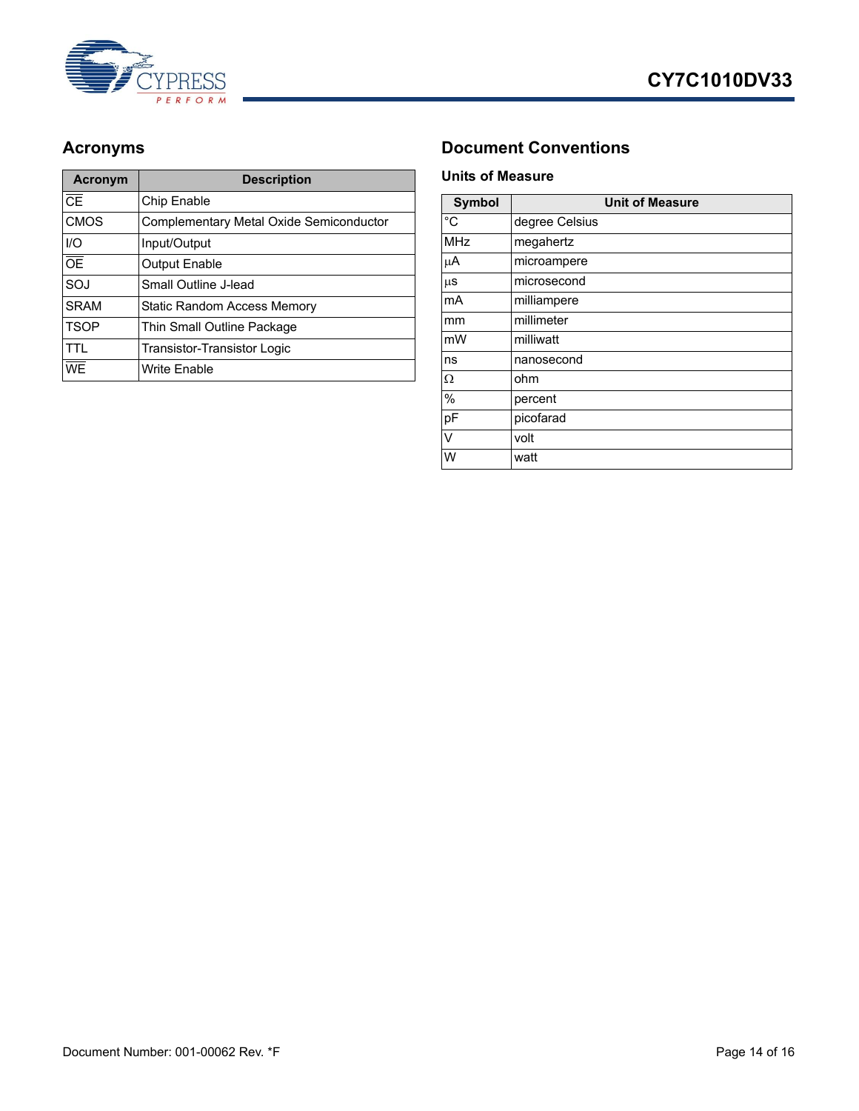



| <b>Acronym</b>                    | <b>Description</b>                      |  |
|-----------------------------------|-----------------------------------------|--|
| $\overline{\overline{\text{CE}}}$ | Chip Enable                             |  |
| <b>CMOS</b>                       | Complementary Metal Oxide Semiconductor |  |
| I/O                               | Input/Output                            |  |
| $\overline{OE}$                   | <b>Output Enable</b>                    |  |
| SOJ                               | Small Outline J-lead                    |  |
| <b>SRAM</b>                       | Static Random Access Memory             |  |
| <b>TSOP</b>                       | Thin Small Outline Package              |  |
| <b>TTI</b>                        | <b>Transistor-Transistor Logic</b>      |  |
| WE                                | <b>Write Enable</b>                     |  |

### <span id="page-13-0"></span>Acronyms **Document Conventions**

#### <span id="page-13-2"></span><span id="page-13-1"></span>**Units of Measure**

| <b>Symbol</b> | <b>Unit of Measure</b> |  |  |
|---------------|------------------------|--|--|
| $^{\circ}C$   | degree Celsius         |  |  |
| <b>MHz</b>    | megahertz              |  |  |
| μA            | microampere            |  |  |
| μS            | microsecond            |  |  |
| mA            | milliampere            |  |  |
| mm            | millimeter             |  |  |
| mW            | milliwatt              |  |  |
| ns            | nanosecond             |  |  |
| Ω             | ohm                    |  |  |
| %             | percent                |  |  |
| pF            | picofarad              |  |  |
| $\vee$        | volt                   |  |  |
| W             | watt                   |  |  |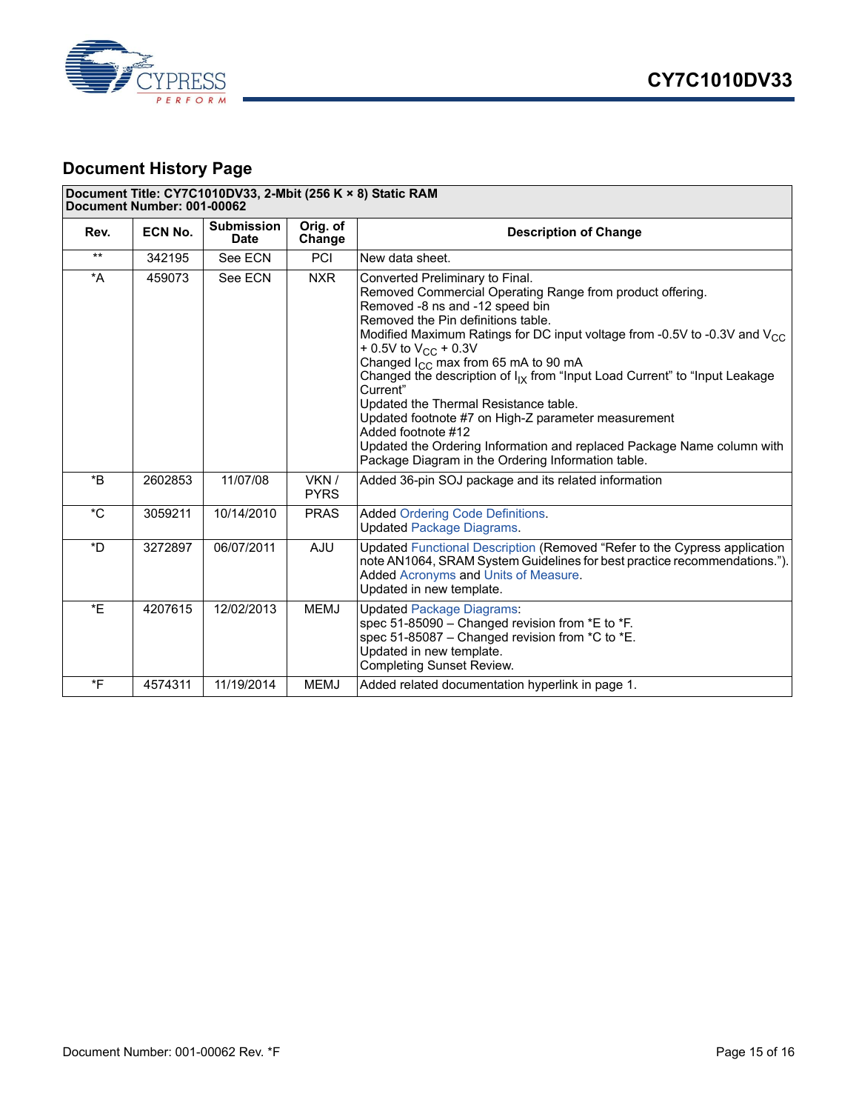



### <span id="page-14-0"></span>**Document History Page**

#### **Document Title: CY7C1010DV33, 2-Mbit (256 K × 8) Static RAM Document Number: 001-00062**

| Rev.             | ECN No. | <b>Submission</b><br><b>Date</b> | Orig. of<br>Change   | <b>Description of Change</b>                                                                                                                                                                                                                                                                                                                                                                                                                                                                                                                                                                                                                                                                        |
|------------------|---------|----------------------------------|----------------------|-----------------------------------------------------------------------------------------------------------------------------------------------------------------------------------------------------------------------------------------------------------------------------------------------------------------------------------------------------------------------------------------------------------------------------------------------------------------------------------------------------------------------------------------------------------------------------------------------------------------------------------------------------------------------------------------------------|
| $***$            | 342195  | See ECN                          | <b>PCI</b>           | New data sheet.                                                                                                                                                                                                                                                                                                                                                                                                                                                                                                                                                                                                                                                                                     |
| *A               | 459073  | See ECN                          | <b>NXR</b>           | Converted Preliminary to Final.<br>Removed Commercial Operating Range from product offering.<br>Removed -8 ns and -12 speed bin<br>Removed the Pin definitions table.<br>Modified Maximum Ratings for DC input voltage from -0.5V to -0.3V and V <sub>CC</sub><br>+ 0.5V to V <sub>CC</sub> + 0.3V<br>Changed $I_{CC}$ max from 65 mA to 90 mA<br>Changed the description of $I_{IX}$ from "Input Load Current" to "Input Leakage<br>Current"<br>Updated the Thermal Resistance table.<br>Updated footnote #7 on High-Z parameter measurement<br>Added footnote #12<br>Updated the Ordering Information and replaced Package Name column with<br>Package Diagram in the Ordering Information table. |
| $*_{\mathsf{B}}$ | 2602853 | 11/07/08                         | VKN /<br><b>PYRS</b> | Added 36-pin SOJ package and its related information                                                                                                                                                                                                                                                                                                                                                                                                                                                                                                                                                                                                                                                |
| $^{\star}$ C     | 3059211 | 10/14/2010                       | <b>PRAS</b>          | <b>Added Ordering Code Definitions.</b><br><b>Updated Package Diagrams.</b>                                                                                                                                                                                                                                                                                                                                                                                                                                                                                                                                                                                                                         |
| *D               | 3272897 | 06/07/2011                       | <b>AJU</b>           | Updated Functional Description (Removed "Refer to the Cypress application<br>note AN1064, SRAM System Guidelines for best practice recommendations.").<br>Added Acronyms and Units of Measure.<br>Updated in new template.                                                                                                                                                                                                                                                                                                                                                                                                                                                                          |
| *E               | 4207615 | 12/02/2013                       | <b>MEMJ</b>          | <b>Updated Package Diagrams:</b><br>spec 51-85090 - Changed revision from *E to *F.<br>spec 51-85087 - Changed revision from *C to *E.<br>Updated in new template.<br><b>Completing Sunset Review.</b>                                                                                                                                                                                                                                                                                                                                                                                                                                                                                              |
| *F               | 4574311 | 11/19/2014                       | <b>MEMJ</b>          | Added related documentation hyperlink in page 1.                                                                                                                                                                                                                                                                                                                                                                                                                                                                                                                                                                                                                                                    |